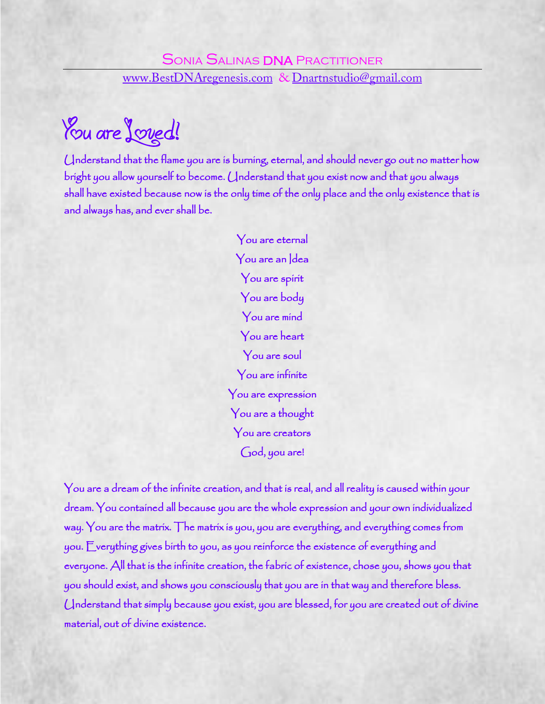You are *Joved!* 

Understand that the flame you are is burning, eternal, and should never go out no matter how bright you allow yourself to become. Understand that you exist now and that you always shall have existed because now is the only time of the only place and the only existence that is and always has, and ever shall be.

> You are eternal You are an Idea You are spirit You are body You are mind You are heart You are soul You are infinite You are expression You are a thought You are creators God, you are!

You are a dream of the infinite creation, and that is real, and all reality is caused within your dream. You contained all because you are the whole expression and your own individualized way. You are the matrix. The matrix is you, you are everything, and everything comes from you. Everything gives birth to you, as you reinforce the existence of everything and everyone. All that is the infinite creation, the fabric of existence, chose you, shows you that you should exist, and shows you consciously that you are in that way and therefore bless. Understand that simply because you exist, you are blessed, for you are created out of divine material, out of divine existence.